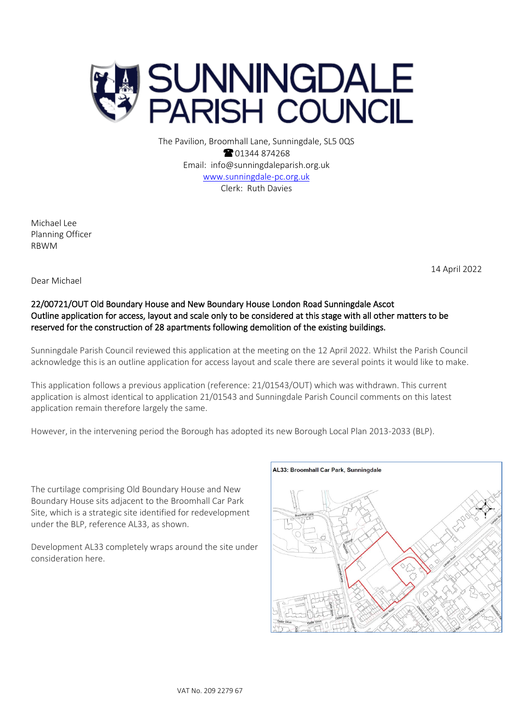

The Pavilion, Broomhall Lane, Sunningdale, SL5 0QS <sup>2</sup>01344 874268 Email: info@sunningdaleparish.org.uk [www.sunningdale-pc.org.uk](http://www.sunningdale-pc.org.uk/) Clerk: Ruth Davies

Michael Lee Planning Officer RBWM

14 April 2022

Dear Michael

# 22/00721/OUT Old Boundary House and New Boundary House London Road Sunningdale Ascot Outline application for access, layout and scale only to be considered at this stage with all other matters to be reserved for the construction of 28 apartments following demolition of the existing buildings.

Sunningdale Parish Council reviewed this application at the meeting on the 12 April 2022. Whilst the Parish Council acknowledge this is an outline application for access layout and scale there are several points it would like to make.

This application follows a previous application (reference: 21/01543/OUT) which was withdrawn. This current application is almost identical to application 21/01543 and Sunningdale Parish Council comments on this latest application remain therefore largely the same.

However, in the intervening period the Borough has adopted its new Borough Local Plan 2013-2033 (BLP).

The curtilage comprising Old Boundary House and New Boundary House sits adjacent to the Broomhall Car Park Site, which is a strategic site identified for redevelopment under the BLP, reference AL33, as shown.

Development AL33 completely wraps around the site under consideration here.

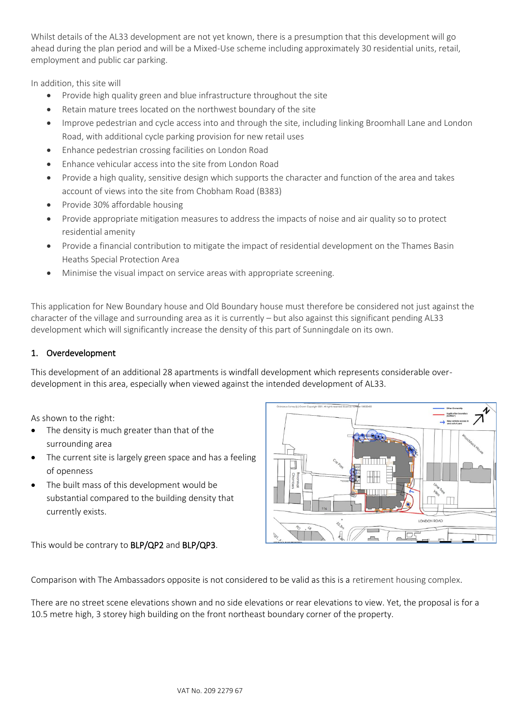Whilst details of the AL33 development are not yet known, there is a presumption that this development will go ahead during the plan period and will be a Mixed-Use scheme including approximately 30 residential units, retail, employment and public car parking.

In addition, this site will

- Provide high quality green and blue infrastructure throughout the site
- Retain mature trees located on the northwest boundary of the site
- Improve pedestrian and cycle access into and through the site, including linking Broomhall Lane and London Road, with additional cycle parking provision for new retail uses
- Enhance pedestrian crossing facilities on London Road
- Enhance vehicular access into the site from London Road
- Provide a high quality, sensitive design which supports the character and function of the area and takes account of views into the site from Chobham Road (B383)
- Provide 30% affordable housing
- Provide appropriate mitigation measures to address the impacts of noise and air quality so to protect residential amenity
- Provide a financial contribution to mitigate the impact of residential development on the Thames Basin Heaths Special Protection Area
- Minimise the visual impact on service areas with appropriate screening.

This application for New Boundary house and Old Boundary house must therefore be considered not just against the character of the village and surrounding area as it is currently – but also against this significant pending AL33 development which will significantly increase the density of this part of Sunningdale on its own.

### 1. Overdevelopment

This development of an additional 28 apartments is windfall development which represents considerable overdevelopment in this area, especially when viewed against the intended development of AL33.

As shown to the right:

- The density is much greater than that of the surrounding area
- The current site is largely green space and has a feeling of openness
- The built mass of this development would be substantial compared to the building density that currently exists.

This would be contrary to BLP/QP2 and BLP/QP3.



Comparison with The Ambassadors opposite is not considered to be valid as this is a retirement housing complex.

There are no street scene elevations shown and no side elevations or rear elevations to view. Yet, the proposal is for a 10.5 metre high, 3 storey high building on the front northeast boundary corner of the property.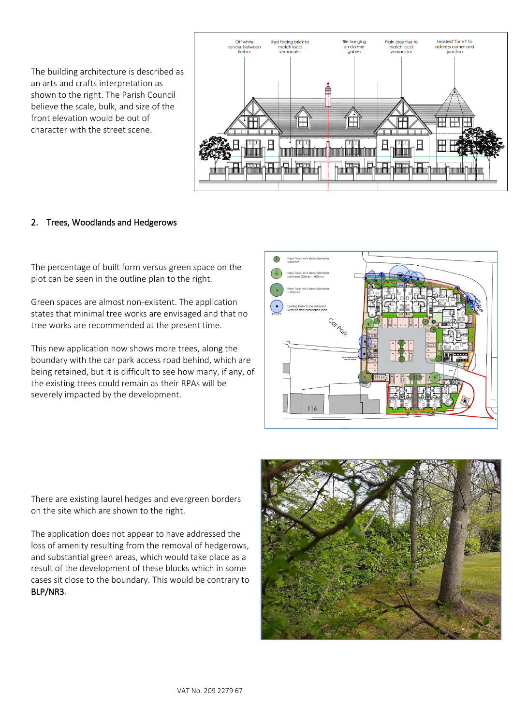The building architecture is described as an arts and crafts interpretation as shown to the right. The Parish Council believe the scale, bulk, and size of the front elevation would be out of character with the street scene.



# 2. Trees, Woodlands and Hedgerows

The percentage of built form versus green space on the plot can be seen in the outline plan to the right.

Green spaces are almost non-existent. The application states that minimal tree works are envisaged and that no tree works are recommended at the present time.

This new application now shows more trees, along the boundary with the car park access road behind, which are being retained, but it is difficult to see how many, if any, of the existing trees could remain as their RPAs will be severely impacted by the development.



There are existing laurel hedges and evergreen borders on the site which are shown to the right.

The application does not appear to have addressed the loss of amenity resulting from the removal of hedgerows, and substantial green areas, which would take place as a result of the development of these blocks which in some cases sit close to the boundary. This would be contrary to BLP/NR3.